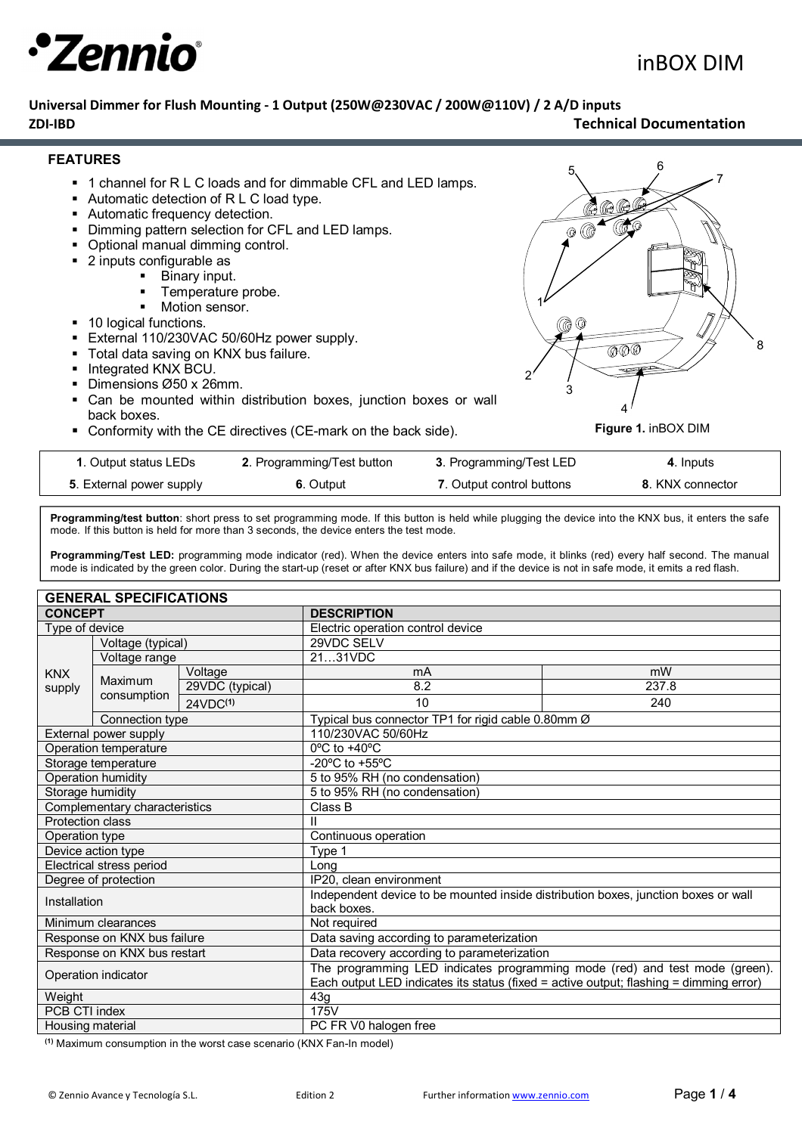

# **Universal Dimmer for Flush Mounting - 1 Output (250W@230VAC / 200W@110V) / 2 A/D inputs ZDI-IBD Technical Documentation**

#### **FEATURES**

- 1 channel for R L C loads and for dimmable CFL and LED lamps.
- Automatic detection of R L C load type.
- **Automatic frequency detection.**
- Dimming pattern selection for CFL and LED lamps.
- Optional manual dimming control.
- 2 inputs configurable as
- Binary input.
	- Temperature probe.
	- Motion sensor.
- 10 logical functions.
- External 110/230VAC 50/60Hz power supply.
- Total data saving on KNX bus failure.
- Integrated KNX BCU.
- Dimensions Ø50 x 26mm.
- Can be mounted within distribution boxes, junction boxes or wall back boxes.
- Conformity with the CE directives (CE-mark on the back side).

7  $\widehat{\mathbb{G}}$  $\odot$ 1 8 **OOO** 2 3 4

6

5

**Figure 1.** inBOX DIM

| <b>1. Output status LEDs</b> | 2. Programming/Test button | 3. Programming/Test LED   | 4. Inputs        |
|------------------------------|----------------------------|---------------------------|------------------|
| 5. External power supply     | 6. Output                  | 7. Output control buttons | 8. KNX connector |

**Programming/test button**: short press to set programming mode. If this button is held while plugging the device into the KNX bus, it enters the safe mode. If this button is held for more than 3 seconds, the device enters the test mode.

**Programming/Test LED:** programming mode indicator (red). When the device enters into safe mode, it blinks (red) every half second. The manual mode is indicated by the green color. During the start-up (reset or after KNX bus failure) and if the device is not in safe mode, it emits a red flash.

| <b>GENERAL SPECIFICATIONS</b> |                       |                      |                                                                                                                                                                       |       |  |
|-------------------------------|-----------------------|----------------------|-----------------------------------------------------------------------------------------------------------------------------------------------------------------------|-------|--|
| <b>CONCEPT</b>                |                       |                      | <b>DESCRIPTION</b>                                                                                                                                                    |       |  |
| Type of device                |                       |                      | Electric operation control device                                                                                                                                     |       |  |
|                               | Voltage (typical)     |                      | 29VDC SELV                                                                                                                                                            |       |  |
|                               | Voltage range         |                      | 2131VDC                                                                                                                                                               |       |  |
| <b>KNX</b>                    |                       | Voltage              | mA                                                                                                                                                                    | mW    |  |
| supply                        | Maximum               | 29VDC (typical)      | 8.2                                                                                                                                                                   | 237.8 |  |
|                               | consumption           | 24VDC <sup>(1)</sup> | 10                                                                                                                                                                    | 240   |  |
|                               | Connection type       |                      | Typical bus connector TP1 for rigid cable 0.80mm Ø                                                                                                                    |       |  |
|                               | External power supply |                      | 110/230VAC 50/60Hz                                                                                                                                                    |       |  |
|                               | Operation temperature |                      | 0°C to +40°C                                                                                                                                                          |       |  |
|                               | Storage temperature   |                      | -20 $\mathrm{^{\circ}C}$ to +55 $\mathrm{^{\circ}C}$                                                                                                                  |       |  |
| Operation humidity            |                       |                      | 5 to 95% RH (no condensation)                                                                                                                                         |       |  |
| Storage humidity              |                       |                      | 5 to 95% RH (no condensation)                                                                                                                                         |       |  |
| Complementary characteristics |                       |                      | Class B                                                                                                                                                               |       |  |
| Protection class              |                       |                      | н                                                                                                                                                                     |       |  |
| Operation type                |                       |                      | Continuous operation                                                                                                                                                  |       |  |
| Device action type            |                       |                      | Type 1                                                                                                                                                                |       |  |
| Electrical stress period      |                       |                      | Long                                                                                                                                                                  |       |  |
| Degree of protection          |                       |                      | IP20, clean environment                                                                                                                                               |       |  |
| Installation                  |                       |                      | Independent device to be mounted inside distribution boxes, junction boxes or wall<br>back boxes.                                                                     |       |  |
| Minimum clearances            |                       |                      | Not required                                                                                                                                                          |       |  |
| Response on KNX bus failure   |                       |                      | Data saving according to parameterization                                                                                                                             |       |  |
| Response on KNX bus restart   |                       |                      | Data recovery according to parameterization                                                                                                                           |       |  |
| Operation indicator           |                       |                      | The programming LED indicates programming mode (red) and test mode (green).<br>Each output LED indicates its status (fixed = active output; flashing = dimming error) |       |  |
| Weight                        |                       |                      | 43g                                                                                                                                                                   |       |  |
| PCB CTI index                 |                       |                      | 175V                                                                                                                                                                  |       |  |
| Housing material              |                       |                      | PC FR V0 halogen free                                                                                                                                                 |       |  |

**(1)** Maximum consumption in the worst case scenario (KNX Fan-In model)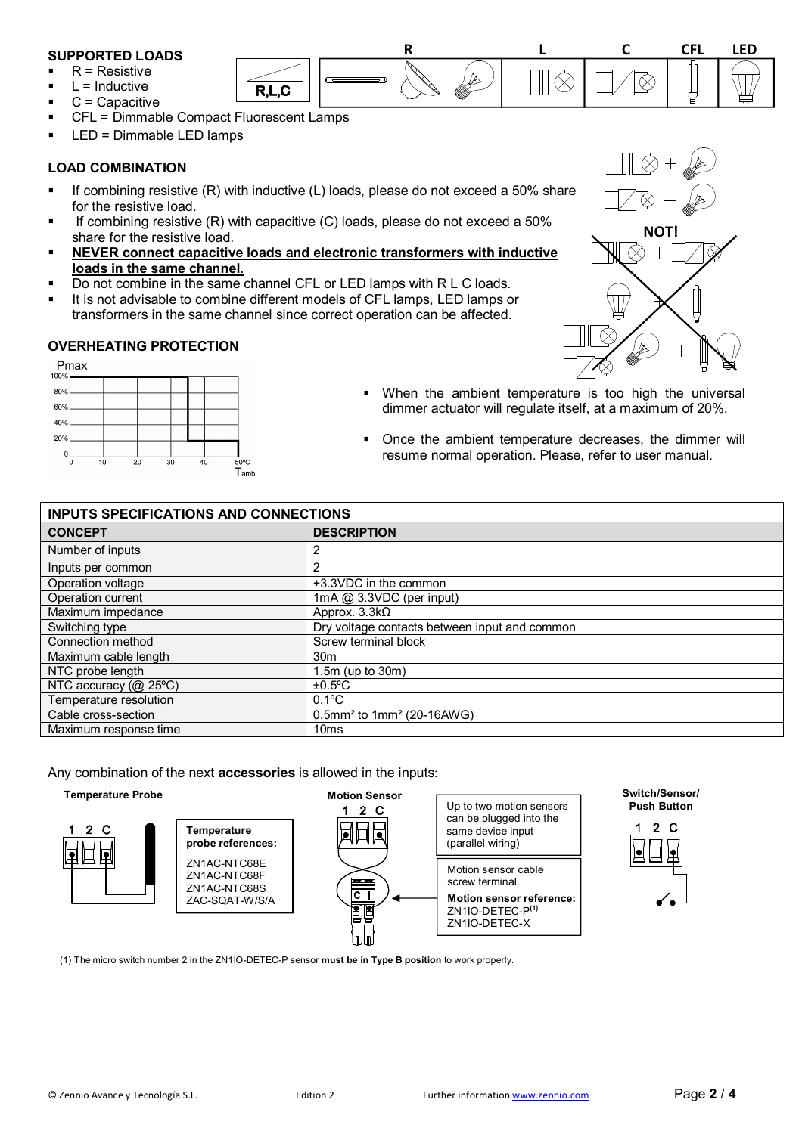## **SUPPORTED LOADS**

- R = Resistive
- $L = Inductive$
- C = Capacitive
- CFL = Dimmable Compact Fluorescent Lamps
- LED = Dimmable LED lamps

## **LOAD COMBINATION**

- $\blacksquare$  If combining resistive (R) with inductive (L) loads, please do not exceed a 50% share for the resistive load.
- If combining resistive (R) with capacitive (C) loads, please do not exceed a 50% share for the resistive load.
- **NEVER connect capacitive loads and electronic transformers with inductive loads in the same channel.**
- Do not combine in the same channel CFL or LED lamps with R L C loads.

 $R.L.C$ 

 It is not advisable to combine different models of CFL lamps, LED lamps or transformers in the same channel since correct operation can be affected.

# **OVERHEATING PROTECTION**



**NOT!**

 $\otimes$ 

**R L C CFL LED**

- When the ambient temperature is too high the universal dimmer actuator will regulate itself, at a maximum of 20%.
- Once the ambient temperature decreases, the dimmer will resume normal operation. Please, refer to user manual.

| <b>INPUTS SPECIFICATIONS AND CONNECTIONS</b> |                                                   |  |
|----------------------------------------------|---------------------------------------------------|--|
| <b>CONCEPT</b>                               | <b>DESCRIPTION</b>                                |  |
| Number of inputs                             |                                                   |  |
| Inputs per common                            | 2                                                 |  |
| Operation voltage                            | +3.3VDC in the common                             |  |
| Operation current                            | 1mA @ 3.3VDC (per input)                          |  |
| Maximum impedance                            | Approx. $3.3k\Omega$                              |  |
| Switching type                               | Dry voltage contacts between input and common     |  |
| Connection method                            | Screw terminal block                              |  |
| Maximum cable length                         | 30 <sub>m</sub>                                   |  |
| NTC probe length                             | 1.5m (up to 30m)                                  |  |
| NTC accuracy (@ 25°C)                        | $±0.5$ °C                                         |  |
| Temperature resolution                       | $0.1^{\circ}$ C                                   |  |
| Cable cross-section                          | 0.5mm <sup>2</sup> to 1mm <sup>2</sup> (20-16AWG) |  |
| Maximum response time                        | 10 <sub>ms</sub>                                  |  |

Any combination of the next **accessories** is allowed in the inputs:











(1) The micro switch number 2 in the ZN1IO-DETEC-P sensor **must be in Type B position** to work properly.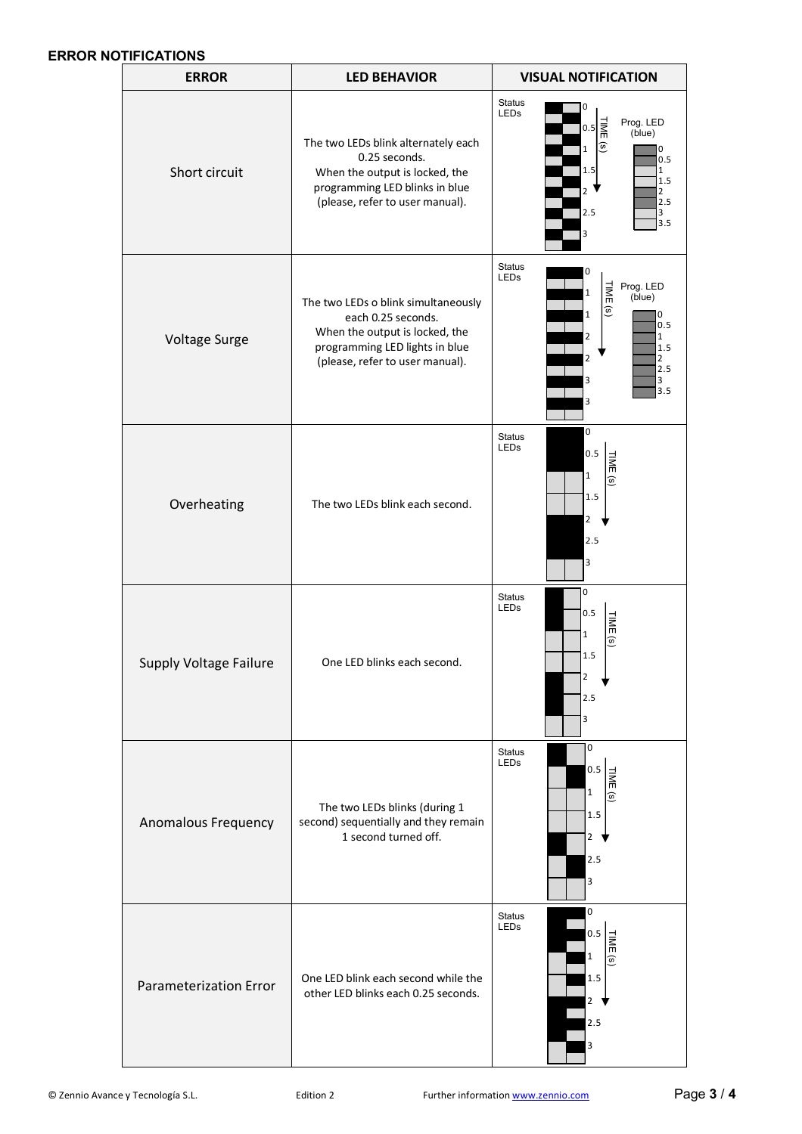# **ERROR NOTIFICATIONS**

| <b>ERROR</b>                  | <b>LED BEHAVIOR</b>                                                                                                                                              | <b>VISUAL NOTIFICATION</b>                                                                                                                                                                                                         |
|-------------------------------|------------------------------------------------------------------------------------------------------------------------------------------------------------------|------------------------------------------------------------------------------------------------------------------------------------------------------------------------------------------------------------------------------------|
| Short circuit                 | The two LEDs blink alternately each<br>0.25 seconds.<br>When the output is locked, the<br>programming LED blinks in blue<br>(please, refer to user manual).      | <b>Status</b><br>0<br><b>LEDs</b><br>Prog. LED<br>$\frac{1}{2}$ 0.5 $\frac{1}{2}$<br>(blue)<br>$\circ$<br>$\mathbf 1$<br>0<br>0.5<br>$\mathbf{1}$<br>1.5<br>1.5<br>$\overline{2}$<br>$\overline{2}$<br>2.5<br>2.5<br>3<br>3.5<br>3 |
| <b>Voltage Surge</b>          | The two LEDs o blink simultaneously<br>each 0.25 seconds.<br>When the output is locked, the<br>programming LED lights in blue<br>(please, refer to user manual). | <b>Status</b><br>0<br><b>LEDs</b><br>TIME<br>Prog. LED<br>$\mathbf 1$<br>(blue)<br>$\circledcirc$<br>$\mathbf 1$<br>0<br>0.5<br>$\overline{2}$<br>$\mathbf{1}$<br>1.5<br>$\overline{2}$<br>2<br>2.5<br>3<br>3<br>3.5<br>3          |
| Overheating                   | The two LEDs blink each second.                                                                                                                                  | 0<br><b>Status</b><br><b>LEDs</b><br>0.5<br>TIME<br>$\mathbf 1$<br>$\widehat{\mathcal{C}}$<br>1.5<br>$\overline{\mathbf{c}}$<br>2.5<br>3                                                                                           |
| Supply Voltage Failure        | One LED blinks each second.                                                                                                                                      | 0<br><b>Status</b><br>LEDs<br>0.5<br>TIME<br>$\mathbf{1}$<br>$\circledcirc$<br>1.5<br>2<br>2.5<br>3                                                                                                                                |
| <b>Anomalous Frequency</b>    | The two LEDs blinks (during 1<br>second) sequentially and they remain<br>1 second turned off.                                                                    | $\mathbf 0$<br><b>Status</b><br>LEDs<br>$\frac{1 \text{ m}}{1}$<br>$\mathbf 1$<br>$\overline{\mathbf{e}}$<br>1.5<br>$\overline{2}$<br>2.5<br>3                                                                                     |
| <b>Parameterization Error</b> | One LED blink each second while the<br>other LED blinks each 0.25 seconds.                                                                                       | 0<br><b>Status</b><br>LEDs<br>0.5<br>TIME (s)<br>1<br>1.5<br>$\overline{2}$<br>2.5<br>3                                                                                                                                            |